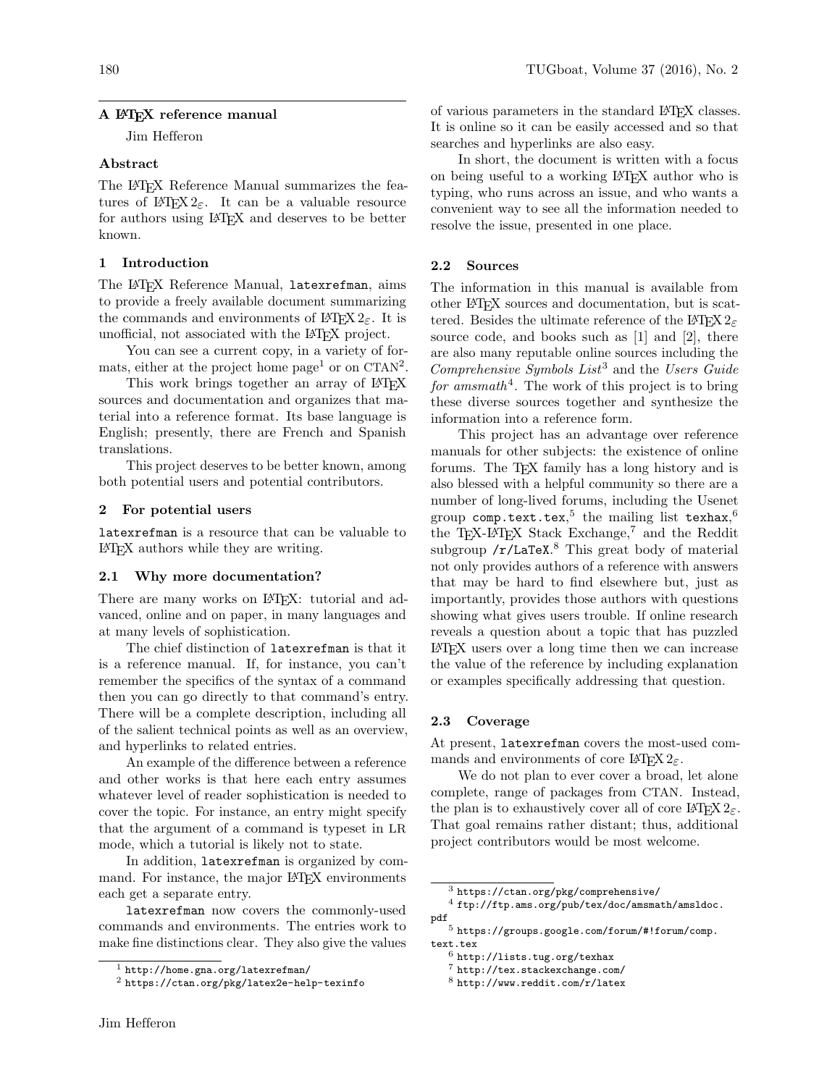## A LATEX reference manual

Jim Hefferon

# Abstract

The L<sup>AT</sup>EX Reference Manual summarizes the features of  $\angle ETRX 2_{\epsilon}$ . It can be a valuable resource for authors using LATEX and deserves to be better known.

### 1 Introduction

The LAT<sub>F</sub>X Reference Manual, latexrefman, aims to provide a freely available document summarizing the commands and environments of  $\mathbb{H}\mathbb{F} X2_{\varepsilon}$ . It is unofficial, not associated with the LATEX project.

You can see a current copy, in a variety of formats, either at the project home page<sup>1</sup> or on CTAN<sup>2</sup>.

This work brings together an array of LAT<sub>EX</sub> sources and documentation and organizes that material into a reference format. Its base language is English; presently, there are French and Spanish translations.

This project deserves to be better known, among both potential users and potential contributors.

#### 2 For potential users

latexrefman is a resource that can be valuable to LATEX authors while they are writing.

#### 2.1 Why more documentation?

There are many works on LAT<sub>EX</sub>: tutorial and advanced, online and on paper, in many languages and at many levels of sophistication.

The chief distinction of latexrefman is that it is a reference manual. If, for instance, you can't remember the specifics of the syntax of a command then you can go directly to that command's entry. There will be a complete description, including all of the salient technical points as well as an overview, and hyperlinks to related entries.

An example of the difference between a reference and other works is that here each entry assumes whatever level of reader sophistication is needed to cover the topic. For instance, an entry might specify that the argument of a command is typeset in LR mode, which a tutorial is likely not to state.

In addition, latexrefman is organized by command. For instance, the major LAT<sub>EX</sub> environments each get a separate entry.

latexrefman now covers the commonly-used commands and environments. The entries work to make fine distinctions clear. They also give the values

of various parameters in the standard LAT<sub>EX</sub> classes. It is online so it can be easily accessed and so that searches and hyperlinks are also easy.

In short, the document is written with a focus on being useful to a working LATEX author who is typing, who runs across an issue, and who wants a convenient way to see all the information needed to resolve the issue, presented in one place.

# 2.2 Sources

The information in this manual is available from other LATEX sources and documentation, but is scattered. Besides the ultimate reference of the LAT<sub>E</sub>X  $2\varepsilon$ source code, and books such as [1] and [2], there are also many reputable online sources including the Comprehensive Symbols List<sup>3</sup> and the Users Guide for amsmath<sup>4</sup>. The work of this project is to bring these diverse sources together and synthesize the information into a reference form.

This project has an advantage over reference manuals for other subjects: the existence of online forums. The T<sub>E</sub>X family has a long history and is also blessed with a helpful community so there are a number of long-lived forums, including the Usenet group  $\mathsf{comp.text.text}$ .tex, $^5$  the mailing list texhax, $^6$ the T<sub>EX</sub>-L<sup>AT</sup>EX Stack Exchange,<sup>7</sup> and the Reddit subgroup /r/LaTeX.<sup>8</sup> This great body of material not only provides authors of a reference with answers that may be hard to find elsewhere but, just as importantly, provides those authors with questions showing what gives users trouble. If online research reveals a question about a topic that has puzzled LATEX users over a long time then we can increase the value of the reference by including explanation or examples specifically addressing that question.

# 2.3 Coverage

At present, latexrefman covers the most-used commands and environments of core LAT<sub>E</sub>X  $2\varepsilon$ .

We do not plan to ever cover a broad, let alone complete, range of packages from CTAN. Instead, the plan is to exhaustively cover all of core  $\mathbb{F}$ F<sub>E</sub>X  $2_{\varepsilon}$ . That goal remains rather distant; thus, additional project contributors would be most welcome.

 $1$  http://home.gna.org/latexrefman/

<sup>2</sup> https://ctan.org/pkg/latex2e-help-texinfo

 $^3$ https://ctan.org/pkg/comprehensive/

<sup>4</sup> ftp://ftp.ams.org/pub/tex/doc/amsmath/amsldoc. pdf

 $^5$ https://groups.google.com/forum/#!forum/comp. text.tex

 $^6$ http://lists.tug.org/texhax

<sup>7</sup> http://tex.stackexchange.com/

<sup>8</sup> http://www.reddit.com/r/latex